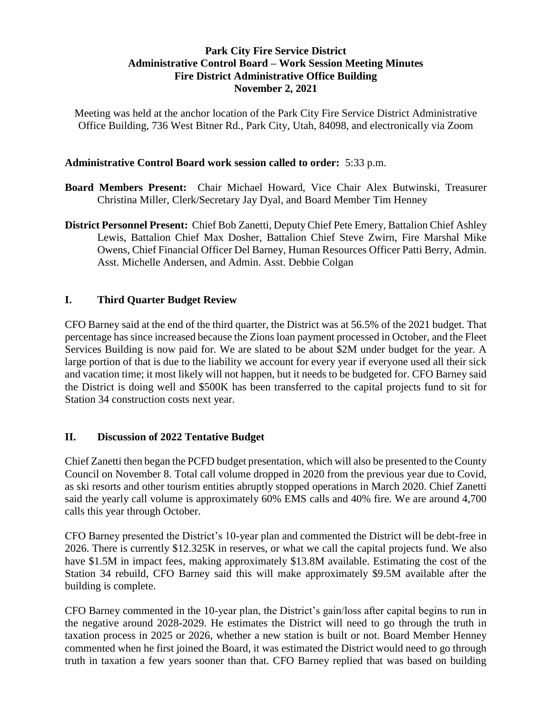# **Park City Fire Service District Administrative Control Board – Work Session Meeting Minutes Fire District Administrative Office Building November 2, 2021**

Meeting was held at the anchor location of the Park City Fire Service District Administrative Office Building, 736 West Bitner Rd., Park City, Utah, 84098, and electronically via Zoom

## **Administrative Control Board work session called to order:** 5:33 p.m.

- **Board Members Present:** Chair Michael Howard, Vice Chair Alex Butwinski, Treasurer Christina Miller, Clerk/Secretary Jay Dyal, and Board Member Tim Henney
- **District Personnel Present:** Chief Bob Zanetti, Deputy Chief Pete Emery, Battalion Chief Ashley Lewis, Battalion Chief Max Dosher, Battalion Chief Steve Zwirn, Fire Marshal Mike Owens, Chief Financial Officer Del Barney, Human Resources Officer Patti Berry, Admin. Asst. Michelle Andersen, and Admin. Asst. Debbie Colgan

# **I. Third Quarter Budget Review**

CFO Barney said at the end of the third quarter, the District was at 56.5% of the 2021 budget. That percentage has since increased because the Zions loan payment processed in October, and the Fleet Services Building is now paid for. We are slated to be about \$2M under budget for the year. A large portion of that is due to the liability we account for every year if everyone used all their sick and vacation time; it most likely will not happen, but it needs to be budgeted for. CFO Barney said the District is doing well and \$500K has been transferred to the capital projects fund to sit for Station 34 construction costs next year.

# **II. Discussion of 2022 Tentative Budget**

Chief Zanetti then began the PCFD budget presentation, which will also be presented to the County Council on November 8. Total call volume dropped in 2020 from the previous year due to Covid, as ski resorts and other tourism entities abruptly stopped operations in March 2020. Chief Zanetti said the yearly call volume is approximately 60% EMS calls and 40% fire. We are around 4,700 calls this year through October.

CFO Barney presented the District's 10-year plan and commented the District will be debt-free in 2026. There is currently \$12.325K in reserves, or what we call the capital projects fund. We also have \$1.5M in impact fees, making approximately \$13.8M available. Estimating the cost of the Station 34 rebuild, CFO Barney said this will make approximately \$9.5M available after the building is complete.

CFO Barney commented in the 10-year plan, the District's gain/loss after capital begins to run in the negative around 2028-2029. He estimates the District will need to go through the truth in taxation process in 2025 or 2026, whether a new station is built or not. Board Member Henney commented when he first joined the Board, it was estimated the District would need to go through truth in taxation a few years sooner than that. CFO Barney replied that was based on building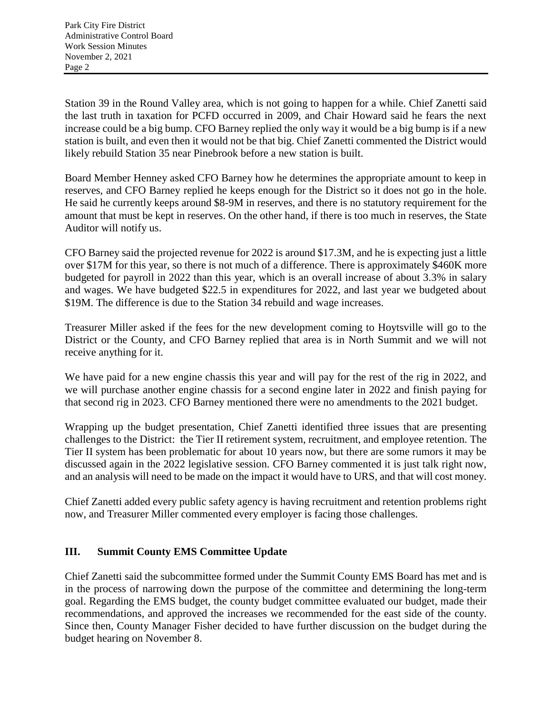Station 39 in the Round Valley area, which is not going to happen for a while. Chief Zanetti said the last truth in taxation for PCFD occurred in 2009, and Chair Howard said he fears the next increase could be a big bump. CFO Barney replied the only way it would be a big bump is if a new station is built, and even then it would not be that big. Chief Zanetti commented the District would likely rebuild Station 35 near Pinebrook before a new station is built.

Board Member Henney asked CFO Barney how he determines the appropriate amount to keep in reserves, and CFO Barney replied he keeps enough for the District so it does not go in the hole. He said he currently keeps around \$8-9M in reserves, and there is no statutory requirement for the amount that must be kept in reserves. On the other hand, if there is too much in reserves, the State Auditor will notify us.

CFO Barney said the projected revenue for 2022 is around \$17.3M, and he is expecting just a little over \$17M for this year, so there is not much of a difference. There is approximately \$460K more budgeted for payroll in 2022 than this year, which is an overall increase of about 3.3% in salary and wages. We have budgeted \$22.5 in expenditures for 2022, and last year we budgeted about \$19M. The difference is due to the Station 34 rebuild and wage increases.

Treasurer Miller asked if the fees for the new development coming to Hoytsville will go to the District or the County, and CFO Barney replied that area is in North Summit and we will not receive anything for it.

We have paid for a new engine chassis this year and will pay for the rest of the rig in 2022, and we will purchase another engine chassis for a second engine later in 2022 and finish paying for that second rig in 2023. CFO Barney mentioned there were no amendments to the 2021 budget.

Wrapping up the budget presentation, Chief Zanetti identified three issues that are presenting challenges to the District: the Tier II retirement system, recruitment, and employee retention. The Tier II system has been problematic for about 10 years now, but there are some rumors it may be discussed again in the 2022 legislative session. CFO Barney commented it is just talk right now, and an analysis will need to be made on the impact it would have to URS, and that will cost money.

Chief Zanetti added every public safety agency is having recruitment and retention problems right now, and Treasurer Miller commented every employer is facing those challenges.

# **III. Summit County EMS Committee Update**

Chief Zanetti said the subcommittee formed under the Summit County EMS Board has met and is in the process of narrowing down the purpose of the committee and determining the long-term goal. Regarding the EMS budget, the county budget committee evaluated our budget, made their recommendations, and approved the increases we recommended for the east side of the county. Since then, County Manager Fisher decided to have further discussion on the budget during the budget hearing on November 8.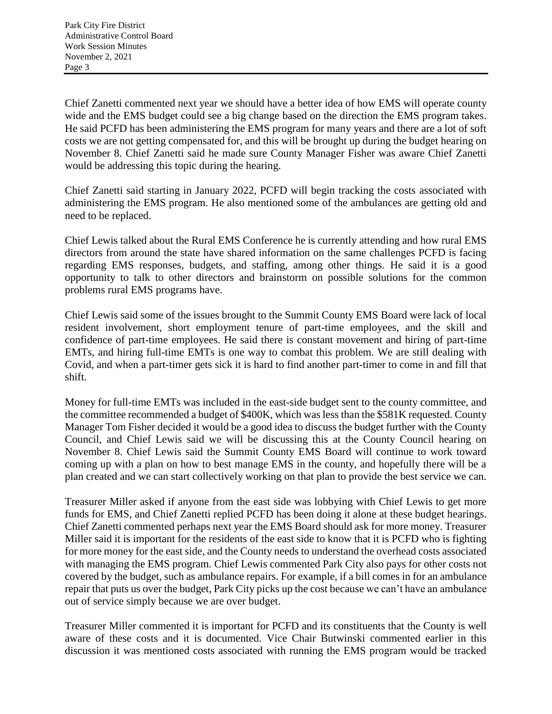Chief Zanetti commented next year we should have a better idea of how EMS will operate county wide and the EMS budget could see a big change based on the direction the EMS program takes. He said PCFD has been administering the EMS program for many years and there are a lot of soft costs we are not getting compensated for, and this will be brought up during the budget hearing on November 8. Chief Zanetti said he made sure County Manager Fisher was aware Chief Zanetti would be addressing this topic during the hearing.

Chief Zanetti said starting in January 2022, PCFD will begin tracking the costs associated with administering the EMS program. He also mentioned some of the ambulances are getting old and need to be replaced.

Chief Lewis talked about the Rural EMS Conference he is currently attending and how rural EMS directors from around the state have shared information on the same challenges PCFD is facing regarding EMS responses, budgets, and staffing, among other things. He said it is a good opportunity to talk to other directors and brainstorm on possible solutions for the common problems rural EMS programs have.

Chief Lewis said some of the issues brought to the Summit County EMS Board were lack of local resident involvement, short employment tenure of part-time employees, and the skill and confidence of part-time employees. He said there is constant movement and hiring of part-time EMTs, and hiring full-time EMTs is one way to combat this problem. We are still dealing with Covid, and when a part-timer gets sick it is hard to find another part-timer to come in and fill that shift.

Money for full-time EMTs was included in the east-side budget sent to the county committee, and the committee recommended a budget of \$400K, which was less than the \$581K requested. County Manager Tom Fisher decided it would be a good idea to discuss the budget further with the County Council, and Chief Lewis said we will be discussing this at the County Council hearing on November 8. Chief Lewis said the Summit County EMS Board will continue to work toward coming up with a plan on how to best manage EMS in the county, and hopefully there will be a plan created and we can start collectively working on that plan to provide the best service we can.

Treasurer Miller asked if anyone from the east side was lobbying with Chief Lewis to get more funds for EMS, and Chief Zanetti replied PCFD has been doing it alone at these budget hearings. Chief Zanetti commented perhaps next year the EMS Board should ask for more money. Treasurer Miller said it is important for the residents of the east side to know that it is PCFD who is fighting for more money for the east side, and the County needs to understand the overhead costs associated with managing the EMS program. Chief Lewis commented Park City also pays for other costs not covered by the budget, such as ambulance repairs. For example, if a bill comes in for an ambulance repair that puts us over the budget, Park City picks up the cost because we can't have an ambulance out of service simply because we are over budget.

Treasurer Miller commented it is important for PCFD and its constituents that the County is well aware of these costs and it is documented. Vice Chair Butwinski commented earlier in this discussion it was mentioned costs associated with running the EMS program would be tracked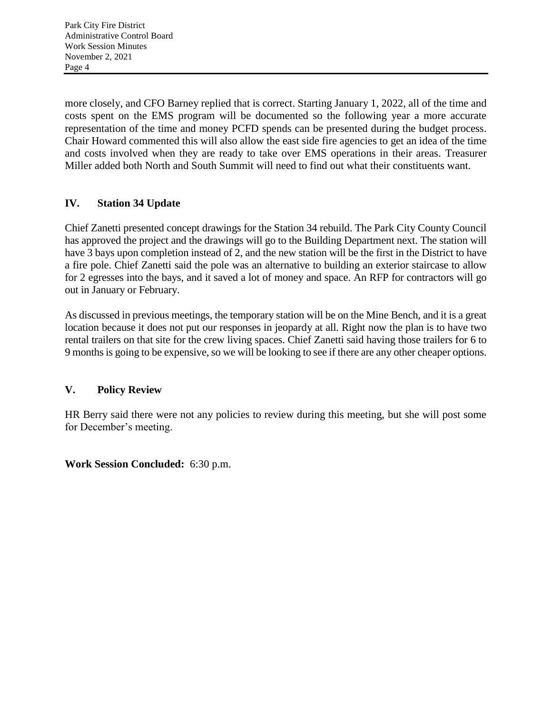more closely, and CFO Barney replied that is correct. Starting January 1, 2022, all of the time and costs spent on the EMS program will be documented so the following year a more accurate representation of the time and money PCFD spends can be presented during the budget process. Chair Howard commented this will also allow the east side fire agencies to get an idea of the time and costs involved when they are ready to take over EMS operations in their areas. Treasurer Miller added both North and South Summit will need to find out what their constituents want.

# **IV. Station 34 Update**

Chief Zanetti presented concept drawings for the Station 34 rebuild. The Park City County Council has approved the project and the drawings will go to the Building Department next. The station will have 3 bays upon completion instead of 2, and the new station will be the first in the District to have a fire pole. Chief Zanetti said the pole was an alternative to building an exterior staircase to allow for 2 egresses into the bays, and it saved a lot of money and space. An RFP for contractors will go out in January or February.

As discussed in previous meetings, the temporary station will be on the Mine Bench, and it is a great location because it does not put our responses in jeopardy at all. Right now the plan is to have two rental trailers on that site for the crew living spaces. Chief Zanetti said having those trailers for 6 to 9 months is going to be expensive, so we will be looking to see if there are any other cheaper options.

# **V. Policy Review**

HR Berry said there were not any policies to review during this meeting, but she will post some for December's meeting.

**Work Session Concluded:** 6:30 p.m.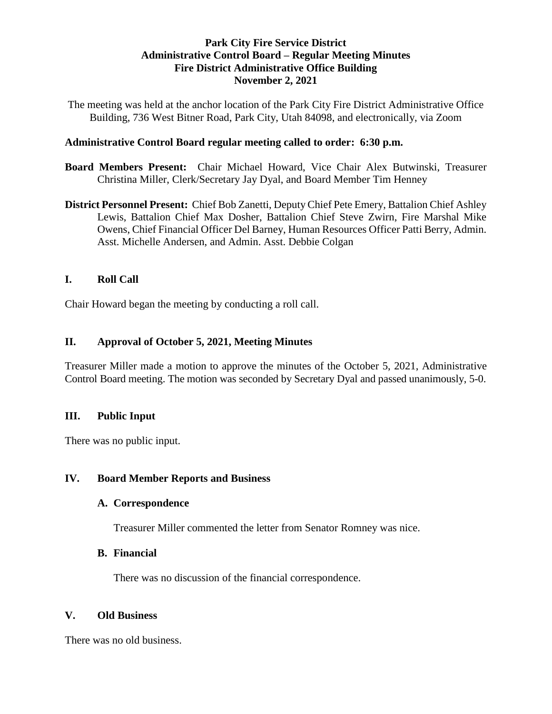## **Park City Fire Service District Administrative Control Board – Regular Meeting Minutes Fire District Administrative Office Building November 2, 2021**

The meeting was held at the anchor location of the Park City Fire District Administrative Office Building, 736 West Bitner Road, Park City, Utah 84098, and electronically, via Zoom

### **Administrative Control Board regular meeting called to order: 6:30 p.m.**

- **Board Members Present:** Chair Michael Howard, Vice Chair Alex Butwinski, Treasurer Christina Miller, Clerk/Secretary Jay Dyal, and Board Member Tim Henney
- **District Personnel Present:** Chief Bob Zanetti, Deputy Chief Pete Emery, Battalion Chief Ashley Lewis, Battalion Chief Max Dosher, Battalion Chief Steve Zwirn, Fire Marshal Mike Owens, Chief Financial Officer Del Barney, Human Resources Officer Patti Berry, Admin. Asst. Michelle Andersen, and Admin. Asst. Debbie Colgan

## **I. Roll Call**

Chair Howard began the meeting by conducting a roll call.

# **II. Approval of October 5, 2021, Meeting Minutes**

Treasurer Miller made a motion to approve the minutes of the October 5, 2021, Administrative Control Board meeting. The motion was seconded by Secretary Dyal and passed unanimously, 5-0.

#### **III. Public Input**

There was no public input.

#### **IV. Board Member Reports and Business**

#### **A. Correspondence**

Treasurer Miller commented the letter from Senator Romney was nice.

#### **B. Financial**

There was no discussion of the financial correspondence.

#### **V. Old Business**

There was no old business.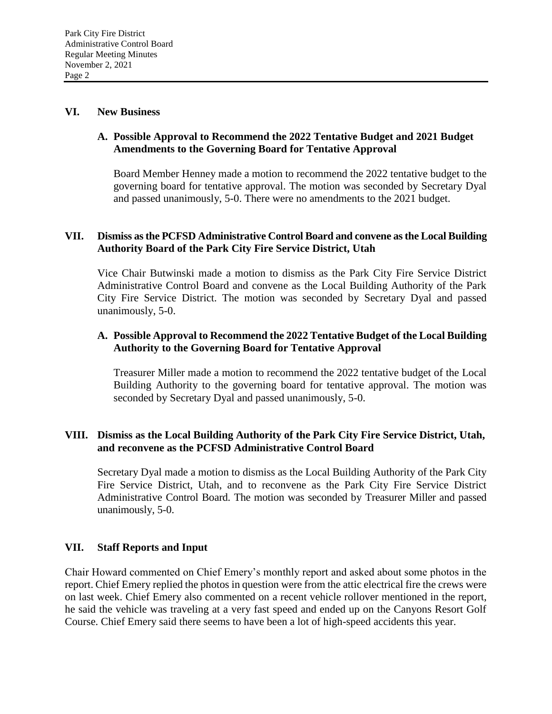#### **VI. New Business**

## **A. Possible Approval to Recommend the 2022 Tentative Budget and 2021 Budget Amendments to the Governing Board for Tentative Approval**

Board Member Henney made a motion to recommend the 2022 tentative budget to the governing board for tentative approval. The motion was seconded by Secretary Dyal and passed unanimously, 5-0. There were no amendments to the 2021 budget.

#### **VII. Dismiss as the PCFSD Administrative Control Board and convene as the Local Building Authority Board of the Park City Fire Service District, Utah**

Vice Chair Butwinski made a motion to dismiss as the Park City Fire Service District Administrative Control Board and convene as the Local Building Authority of the Park City Fire Service District. The motion was seconded by Secretary Dyal and passed unanimously, 5-0.

## **A. Possible Approval to Recommend the 2022 Tentative Budget of the Local Building Authority to the Governing Board for Tentative Approval**

Treasurer Miller made a motion to recommend the 2022 tentative budget of the Local Building Authority to the governing board for tentative approval. The motion was seconded by Secretary Dyal and passed unanimously, 5-0.

## **VIII. Dismiss as the Local Building Authority of the Park City Fire Service District, Utah, and reconvene as the PCFSD Administrative Control Board**

Secretary Dyal made a motion to dismiss as the Local Building Authority of the Park City Fire Service District, Utah, and to reconvene as the Park City Fire Service District Administrative Control Board. The motion was seconded by Treasurer Miller and passed unanimously, 5-0.

#### **VII. Staff Reports and Input**

Chair Howard commented on Chief Emery's monthly report and asked about some photos in the report. Chief Emery replied the photos in question were from the attic electrical fire the crews were on last week. Chief Emery also commented on a recent vehicle rollover mentioned in the report, he said the vehicle was traveling at a very fast speed and ended up on the Canyons Resort Golf Course. Chief Emery said there seems to have been a lot of high-speed accidents this year.